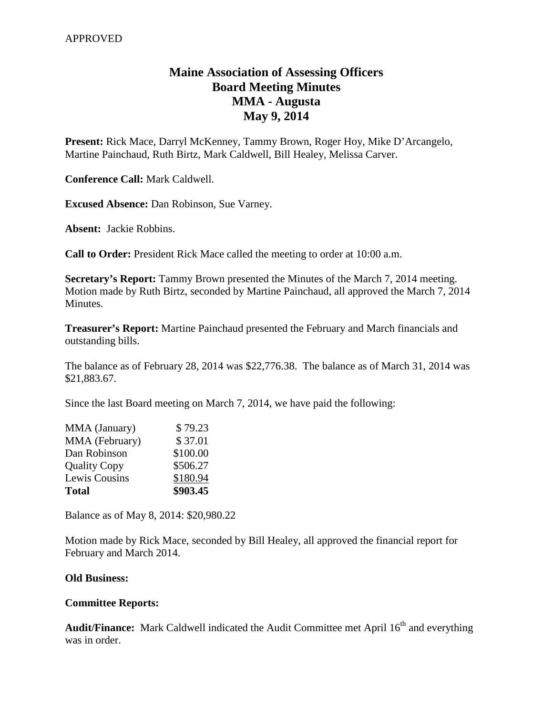## **Maine Association of Assessing Officers Board Meeting Minutes MMA - Augusta May 9, 2014**

**Present:** Rick Mace, Darryl McKenney, Tammy Brown, Roger Hoy, Mike D'Arcangelo, Martine Painchaud, Ruth Birtz, Mark Caldwell, Bill Healey, Melissa Carver.

**Conference Call:** Mark Caldwell.

**Excused Absence:** Dan Robinson, Sue Varney.

**Absent:** Jackie Robbins.

**Call to Order:** President Rick Mace called the meeting to order at 10:00 a.m.

**Secretary's Report:** Tammy Brown presented the Minutes of the March 7, 2014 meeting. Motion made by Ruth Birtz, seconded by Martine Painchaud, all approved the March 7, 2014 Minutes.

**Treasurer's Report:** Martine Painchaud presented the February and March financials and outstanding bills.

The balance as of February 28, 2014 was \$22,776.38. The balance as of March 31, 2014 was \$21,883.67.

Since the last Board meeting on March 7, 2014, we have paid the following:

| <b>Total</b>        | \$903.45 |
|---------------------|----------|
| Lewis Cousins       | \$180.94 |
| <b>Quality Copy</b> | \$506.27 |
| Dan Robinson        | \$100.00 |
| MMA (February)      | \$37.01  |
| MMA (January)       | \$79.23  |

Balance as of May 8, 2014: \$20,980.22

Motion made by Rick Mace, seconded by Bill Healey, all approved the financial report for February and March 2014.

## **Old Business:**

## **Committee Reports:**

Audit/Finance: Mark Caldwell indicated the Audit Committee met April 16<sup>th</sup> and everything was in order.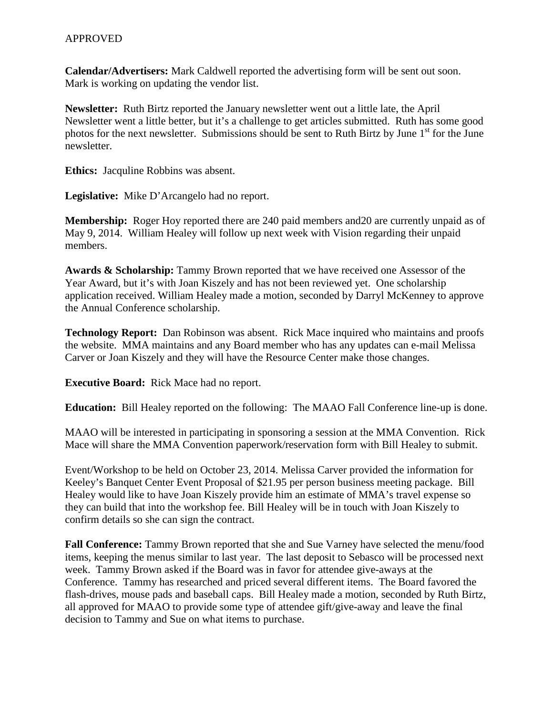**Calendar/Advertisers:** Mark Caldwell reported the advertising form will be sent out soon. Mark is working on updating the vendor list.

**Newsletter:** Ruth Birtz reported the January newsletter went out a little late, the April Newsletter went a little better, but it's a challenge to get articles submitted. Ruth has some good photos for the next newsletter. Submissions should be sent to Ruth Birtz by June  $1<sup>st</sup>$  for the June newsletter.

**Ethics:** Jacquline Robbins was absent.

**Legislative:** Mike D'Arcangelo had no report.

**Membership:** Roger Hoy reported there are 240 paid members and 20 are currently unpaid as of May 9, 2014. William Healey will follow up next week with Vision regarding their unpaid members.

**Awards & Scholarship:** Tammy Brown reported that we have received one Assessor of the Year Award, but it's with Joan Kiszely and has not been reviewed yet. One scholarship application received. William Healey made a motion, seconded by Darryl McKenney to approve the Annual Conference scholarship.

**Technology Report:** Dan Robinson was absent. Rick Mace inquired who maintains and proofs the website. MMA maintains and any Board member who has any updates can e-mail Melissa Carver or Joan Kiszely and they will have the Resource Center make those changes.

**Executive Board:** Rick Mace had no report.

**Education:** Bill Healey reported on the following: The MAAO Fall Conference line-up is done.

MAAO will be interested in participating in sponsoring a session at the MMA Convention. Rick Mace will share the MMA Convention paperwork/reservation form with Bill Healey to submit.

Event/Workshop to be held on October 23, 2014. Melissa Carver provided the information for Keeley's Banquet Center Event Proposal of \$21.95 per person business meeting package. Bill Healey would like to have Joan Kiszely provide him an estimate of MMA's travel expense so they can build that into the workshop fee. Bill Healey will be in touch with Joan Kiszely to confirm details so she can sign the contract.

**Fall Conference:** Tammy Brown reported that she and Sue Varney have selected the menu/food items, keeping the menus similar to last year. The last deposit to Sebasco will be processed next week. Tammy Brown asked if the Board was in favor for attendee give-aways at the Conference. Tammy has researched and priced several different items. The Board favored the flash-drives, mouse pads and baseball caps. Bill Healey made a motion, seconded by Ruth Birtz, all approved for MAAO to provide some type of attendee gift/give-away and leave the final decision to Tammy and Sue on what items to purchase.